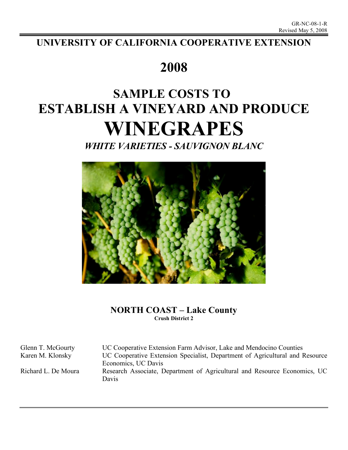## **UNIVERSITY OF CALIFORNIA COOPERATIVE EXTENSION**

# **2008**

# **SAMPLE COSTS TO ESTABLISH A VINEYARD AND PRODUCE WINEGRAPES**

*WHITE VARIETIES - SAUVIGNON BLANC*



## **NORTH COAST – Lake County Crush District 2**

Glenn T. McGourty UC Cooperative Extension Farm Advisor, Lake and Mendocino Counties Karen M. Klonsky UC Cooperative Extension Specialist, Department of Agricultural and Resource Economics, UC Davis Richard L. De Moura Research Associate, Department of Agricultural and Resource Economics, UC Davis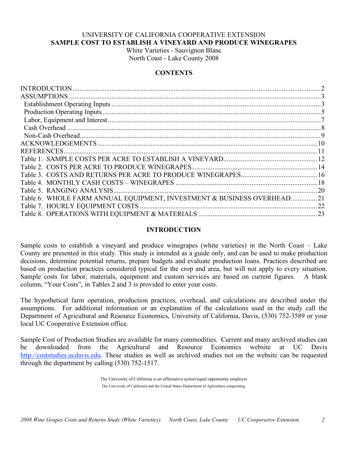## UNIVERSITY OF CALIFORNIA COOPERATIVE EXTENSION **SAMPLE COST TO ESTABLISH A VINEYARD AND PRODUCE WINEGRAPES**

White Varieties - Sauvignon Blanc North Coast - Lake County 2008

## **CONTENTS**

|                                                                        | 2   |
|------------------------------------------------------------------------|-----|
|                                                                        |     |
|                                                                        |     |
|                                                                        |     |
|                                                                        |     |
|                                                                        |     |
|                                                                        |     |
|                                                                        |     |
| <b>REFERENCES.</b>                                                     |     |
|                                                                        |     |
|                                                                        |     |
|                                                                        |     |
|                                                                        |     |
|                                                                        |     |
| Table 6. WHOLE FARM ANNUAL EQUIPMENT, INVESTMENT & BUSINESS OVERHEAD21 |     |
|                                                                        | .22 |
|                                                                        |     |
|                                                                        |     |

## **INTRODUCTION**

Sample costs to establish a vineyard and produce winegrapes (white varieties) in the North Coast – Lake County are presented in this study. This study is intended as a guide only, and can be used to make production decisions, determine potential returns, prepare budgets and evaluate production loans. Practices described are based on production practices considered typical for the crop and area, but will not apply to every situation. Sample costs for labor, materials, equipment and custom services are based on current figures. A blank column, "Your Costs", in Tables 2 and 3 is provided to enter your costs.

The hypothetical farm operation, production practices, overhead, and calculations are described under the assumptions. For additional information or an explanation of the calculations used in the study call the Department of Agricultural and Resource Economics, University of California, Davis, (530) 752-3589 or your local UC Cooperative Extension office.

Sample Cost of Production Studies are available for many commodities. Current and many archived studies can be downloaded from the Agricultural and Resource Economics website at UC Davis http://coststudies.ucdavis.edu. These studies as well as archived studies not on the website can be requested through the department by calling (530) 752-1517.

> The University of California is an affirmative action/equal opportunity employer The University of California and the United States Department of Agriculture cooperating.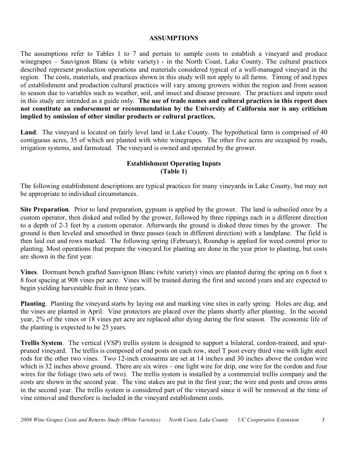## **ASSUMPTIONS**

The assumptions refer to Tables 1 to 7 and pertain to sample costs to establish a vineyard and produce winegrapes – Sauvignon Blanc (a white variety) - in the North Coast, Lake County. The cultural practices described represent production operations and materials considered typical of a well-managed vineyard in the region. The costs, materials, and practices shown in this study will not apply to all farms. Timing of and types of establishment and production cultural practices will vary among growers within the region and from season to season due to variables such as weather, soil, and insect and disease pressure. The practices and inputs used in this study are intended as a guide only. **The use of trade names and cultural practices in this report does not constitute an endorsement or recommendation by the University of California nor is any criticism implied by omission of other similar products or cultural practices.**

**Land**. The vineyard is located on fairly level land in Lake County. The hypothetical farm is comprised of 40 contiguous acres, 35 of which are planted with white winegrapes. The other five acres are occupied by roads, irrigation systems, and farmstead. The vineyard is owned and operated by the grower.

## **Establishment Operating Inputs (Table 1)**

The following establishment descriptions are typical practices for many vineyards in Lake County, but may not be appropriate to individual circumstances.

**Site Preparation**. Prior to land preparation, gypsum is applied by the grower. The land is subsoiled once by a custom operator, then disked and rolled by the grower, followed by three rippings each in a different direction to a depth of 2-3 feet by a custom operator. Afterwards the ground is disked three times by the grower. The ground is then leveled and smoothed in three passes (each in different direction) with a landplane. The field is then laid out and rows marked. The following spring (February), Roundup is applied for weed control prior to planting. Most operations that prepare the vineyard for planting are done in the year prior to planting, but costs are shown in the first year.

**Vines**. Dormant bench grafted Sauvignon Blanc (white variety) vines are planted during the spring on 6 foot x 8 foot spacing at 908 vines per acre. Vines will be trained during the first and second years and are expected to begin yielding harvestable fruit in three years.

**Planting**. Planting the vineyard starts by laying out and marking vine sites in early spring. Holes are dug, and the vines are planted in April. Vine protectors are placed over the plants shortly after planting. In the second year, 2% of the vines or 18 vines per acre are replaced after dying during the first season. The economic life of the planting is expected to be 25 years.

**Trellis System**. The vertical (VSP) trellis system is designed to support a bilateral, cordon-trained, and spurpruned vineyard. The trellis is composed of end posts on each row, steel T post every third vine with light steel rods for the other two vines. Two 12-inch crossarms are set at 14 inches and 30 inches above the cordon wire which is 32 inches above ground. There are six wires – one light wire for drip, one wire for the cordon and four wires for the foliage (two sets of two). The trellis system is installed by a commercial trellis company and the costs are shown in the second year. The vine stakes are put in the first year; the wire end posts and cross arms in the second year. The trellis system is considered part of the vineyard since it will be removed at the time of vine removal and therefore is included in the vineyard establishment costs.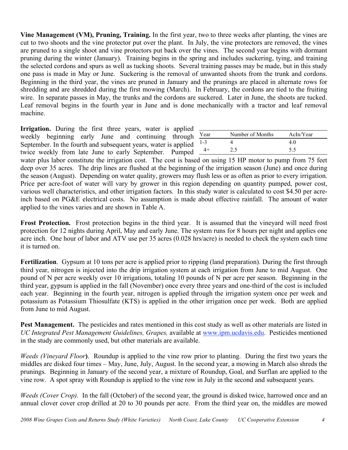**Vine Management (VM), Pruning, Training.** In the first year, two to three weeks after planting, the vines are cut to two shoots and the vine protector put over the plant. In July, the vine protectors are removed, the vines are pruned to a single shoot and vine protectors put back over the vines. The second year begins with dormant pruning during the winter (January). Training begins in the spring and includes suckering, tying, and training the selected cordons and spurs as well as tucking shoots. Several training passes may be made, but in this study one pass is made in May or June. Suckering is the removal of unwanted shoots from the trunk and cordons. Beginning in the third year, the vines are pruned in January and the prunings are placed in alternate rows for shredding and are shredded during the first mowing (March). In February, the cordons are tied to the fruiting wire. In separate passes in May, the trunks and the cordons are suckered. Later in June, the shoots are tucked. Leaf removal begins in the fourth year in June and is done mechanically with a tractor and leaf removal machine.

**Irrigation.** During the first three years, water is applied weekly beginning early June and continuing through September. In the fourth and subsequent years, water is applied twice weekly from late June to early September. Pumped

| Year    | Number of Months | AcIn/Year |
|---------|------------------|-----------|
| $1 - 3$ |                  | 40        |
|         | 2.5              | 5.5       |

water plus labor constitute the irrigation cost. The cost is based on using 15 HP motor to pump from 75 feet deep over 35 acres. The drip lines are flushed at the beginning of the irrigation season (June) and once during the season (August). Depending on water quality, growers may flush less or as often as prior to every irrigation. Price per acre-foot of water will vary by grower in this region depending on quantity pumped, power cost, various well characteristics, and other irrigation factors. In this study water is calculated to cost \$4.50 per acreinch based on PG&E electrical costs. No assumption is made about effective rainfall. The amount of water applied to the vines varies and are shown in Table A.

**Frost Protection.** Frost protection begins in the third year. It is assumed that the vineyard will need frost protection for 12 nights during April, May and early June. The system runs for 8 hours per night and applies one acre inch. One hour of labor and ATV use per 35 acres (0.028 hrs/acre) is needed to check the system each time it is turned on.

**Fertilization**. Gypsum at 10 tons per acre is applied prior to ripping (land preparation). During the first through third year, nitrogen is injected into the drip irrigation system at each irrigation from June to mid August. One pound of N per acre weekly over 10 irrigations, totaling 10 pounds of N per acre per season. Beginning in the third year, gypsum is applied in the fall (November) once every three years and one-third of the cost is included each year. Beginning in the fourth year, nitrogen is applied through the irrigation system once per week and potassium as Potassium Thiosulfate (KTS) is applied in the other irrigation once per week. Both are applied from June to mid August.

**Pest Management.** The pesticides and rates mentioned in this cost study as well as other materials are listed in *UC Integrated Pest Management Guidelines, Grapes,* available at www.ipm.ucdavis.edu. Pesticides mentioned in the study are commonly used, but other materials are available.

*Weeds (Vineyard Floor***)**. Roundup is applied to the vine row prior to planting. During the first two years the middles are disked four times – May, June, July, August. In the second year, a mowing in March also shreds the prunings. Beginning in January of the second year, a mixture of Roundup, Goal, and Surflan are applied to the vine row. A spot spray with Roundup is applied to the vine row in July in the second and subsequent years.

*Weeds (Cover Crop).* In the fall (October) of the second year, the ground is disked twice, harrowed once and an annual clover cover crop drilled at 20 to 30 pounds per acre. From the third year on, the middles are mowed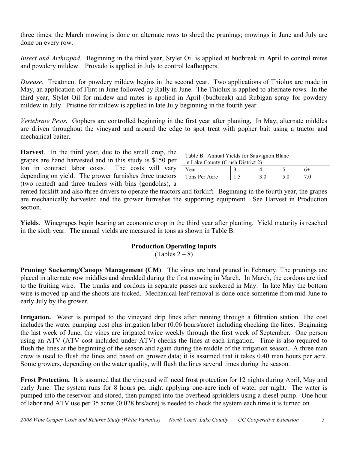three times: the March mowing is done on alternate rows to shred the prunings; mowings in June and July are done on every row.

*Insect and Arthropod*. Beginning in the third year, Stylet Oil is applied at budbreak in April to control mites and powdery mildew. Provado is applied in July to control leafhoppers.

*Disease*. Treatment for powdery mildew begins in the second year. Two applications of Thiolux are made in May, an application of Flint in June followed by Rally in June. The Thiolux is applied to alternate rows. In the third year, Stylet Oil for mildew and mites is applied in April (budbreak) and Rubigan spray for powdery mildew in July. Pristine for mildew is applied in late July beginning in the fourth year.

*Vertebrate Pests.* Gophers are controlled beginning in the first year after planting, In May, alternate middles are driven throughout the vineyard and around the edge to spot treat with gopher bait using a tractor and mechanical baiter.

**Harvest**. In the third year, due to the small crop, the grapes are hand harvested and in this study is \$150 per ton in contract labor costs. The costs will vary depending on yield. The grower furnishes three tractors (two rented) and three trailers with bins (gondolas), a

| Table B. Annual Yields for Sauvignon Blanc |
|--------------------------------------------|
|--------------------------------------------|

|  |  | in Lake County (Crush District 2) |  |
|--|--|-----------------------------------|--|

| ear | $\sim$        | $-1$ $-1$ $-1$ $-1$ $-1$ $-1$ |  |     |
|-----|---------------|-------------------------------|--|-----|
|     |               |                               |  |     |
|     | Tons Per Acre | ن. 1                          |  | . ب |

rented forklift and also three drivers to operate the tractors and forklift. Beginning in the fourth year, the grapes are mechanically harvested and the grower furnishes the supporting equipment. See Harvest in Production section.

**Yields**. Winegrapes begin bearing an economic crop in the third year after planting. Yield maturity is reached in the sixth year. The annual yields are measured in tons as shown in Table B.

## **Production Operating Inputs**

 $(Tables 2-8)$ 

**Pruning/ Suckering/Canopy Management (CM)**. The vines are hand pruned in February. The prunings are placed in alternate row middles and shredded during the first mowing in March. In March, the cordons are tied to the fruiting wire. The trunks and cordons in separate passes are suckered in May. In late May the bottom wire is moved up and the shoots are tucked. Mechanical leaf removal is done once sometime from mid June to early July by the grower.

**Irrigation.** Water is pumped to the vineyard drip lines after running through a filtration station. The cost includes the water pumping cost plus irrigation labor (0.06 hours/acre) including checking the lines. Beginning the last week of June, the vines are irrigated twice weekly through the first week of September. One person using an ATV (ATV cost included under ATV) checks the lines at each irrigation. Time is also required to flush the lines at the beginning of the season and again during the middle of the irrigation season. A three man crew is used to flush the lines and based on grower data; it is assumed that it takes 0.40 man hours per acre. Some growers, depending on the water quality, will flush the lines several times during the season.

**Frost Protection.** It is assumed that the vineyard will need frost protection for 12 nights during April, May and early June. The system runs for 8 hours per night applying one-acre inch of water per night. The water is pumped into the reservoir and stored, then pumped into the overhead sprinklers using a diesel pump. One hour of labor and ATV use per 35 acres (0.028 hrs/acre) is needed to check the system each time it is turned on.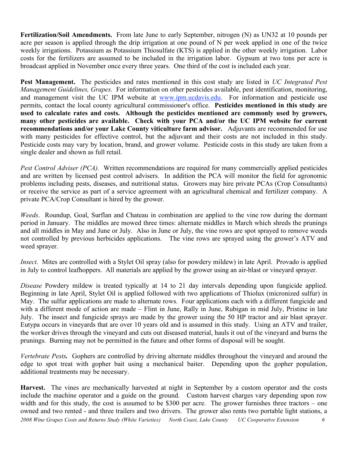**Fertilization/Soil Amendments.** From late June to early September, nitrogen (N) as UN32 at 10 pounds per acre per season is applied through the drip irrigation at one pound of N per week applied in one of the twice weekly irrigations. Potassium as Potassium Thiosulfate (KTS) is applied in the other weekly irrigation. Labor costs for the fertilizers are assumed to be included in the irrigation labor. Gypsum at two tons per acre is broadcast applied in November once every three years. One third of the cost is included each year.

**Pest Management.** The pesticides and rates mentioned in this cost study are listed in *UC Integrated Pest Management Guidelines, Grapes.* For information on other pesticides available, pest identification, monitoring, and management visit the UC IPM website at www.ipm.ucdavis.edu. For information and pesticide use permits, contact the local county agricultural commissioner's office. **Pesticides mentioned in this study are used to calculate rates and costs. Although the pesticides mentioned are commonly used by growers, many other pesticides are available. Check with your PCA and/or the UC IPM website for current recommendations and/or your Lake County viticulture farm advisor.** Adjuvants are recommended for use with many pesticides for effective control, but the adjuvant and their costs are not included in this study. Pesticide costs may vary by location, brand, and grower volume. Pesticide costs in this study are taken from a single dealer and shown as full retail.

*Pest Control Adviser (PCA).* Written recommendations are required for many commercially applied pesticides and are written by licensed pest control advisers. In addition the PCA will monitor the field for agronomic problems including pests, diseases, and nutritional status. Growers may hire private PCAs (Crop Consultants) or receive the service as part of a service agreement with an agricultural chemical and fertilizer company. A private PCA/Crop Consultant is hired by the grower.

*Weeds*. Roundup, Goal, Surflan and Chateau in combination are applied to the vine row during the dormant period in January. The middles are mowed three times: alternate middles in March which shreds the prunings and all middles in May and June or July. Also in June or July, the vine rows are spot sprayed to remove weeds not controlled by previous herbicides applications. The vine rows are sprayed using the grower's ATV and weed sprayer.

*Insect.* Mites are controlled with a Stylet Oil spray (also for powdery mildew) in late April. Provado is applied in July to control leafhoppers. All materials are applied by the grower using an air-blast or vineyard sprayer.

*Disease* Powdery mildew is treated typically at 14 to 21 day intervals depending upon fungicide applied. Beginning in late April, Stylet Oil is applied followed with two applications of Thiolux (micronized sulfur) in May. The sulfur applications are made to alternate rows. Four applications each with a different fungicide and with a different mode of action are made – Flint in June, Rally in June, Rubigan in mid July, Pristine in late July. The insect and fungicide sprays are made by the grower using the 50 HP tractor and air blast sprayer. Eutypa occurs in vineyards that are over 10 years old and is assumed in this study. Using an ATV and trailer, the worker drives through the vineyard and cuts out diseased material, hauls it out of the vineyard and burns the prunings. Burning may not be permitted in the future and other forms of disposal will be sought.

*Vertebrate Pests.* Gophers are controlled by driving alternate middles throughout the vineyard and around the edge to spot treat with gopher bait using a mechanical baiter. Depending upon the gopher population, additional treatments may be necessary.

2008 Wine Grapes Costs and Returns Study (White Varieties) North Coast, Lake County UC Cooperative Extension 6 **Harvest.** The vines are mechanically harvested at night in September by a custom operator and the costs include the machine operator and a guide on the ground. Custom harvest charges vary depending upon row width and for this study, the cost is assumed to be \$300 per acre. The grower furnishes three tractors – one owned and two rented - and three trailers and two drivers. The grower also rents two portable light stations, a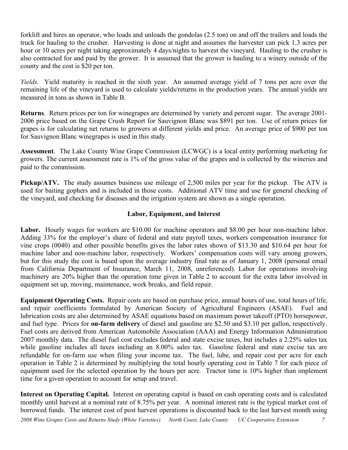forklift and hires an operator, who loads and unloads the gondolas (2.5 ton) on and off the trailers and loads the truck for hauling to the crusher. Harvesting is done at night and assumes the harvester can pick 1.3 acres per hour or 10 acres per night taking approximately 4 days/nights to harvest the vineyard. Hauling to the crusher is also contracted for and paid by the grower. It is assumed that the grower is hauling to a winery outside of the county and the cost is \$20 per ton.

*Yields.* Yield maturity is reached in the sixth year. An assumed average yield of 7 tons per acre over the remaining life of the vineyard is used to calculate yields/returns in the production years. The annual yields are measured in tons as shown in Table B.

**Returns**. Return prices per ton for winegrapes are determined by variety and percent sugar. The average 2001- 2006 price based on the Grape Crush Report for Sauvignon Blanc was \$891 per ton. Use of return prices for grapes is for calculating net returns to growers at different yields and price. An average price of \$900 per ton for Sauvignon Blanc winegrapes is used in this study.

**Assessment**. The Lake County Wine Grape Commission (LCWGC) is a local entity performing marketing for growers. The current assessment rate is 1% of the gross value of the grapes and is collected by the wineries and paid to the commission.

**Pickup/ATV.** The study assumes business use mileage of 2,500 miles per year for the pickup. The ATV is used for baiting gophers and is included in those costs. Additional ATV time and use for general checking of the vineyard, and checking for diseases and the irrigation system are shown as a single operation.

## **Labor, Equipment, and Interest**

Labor. Hourly wages for workers are \$10.00 for machine operators and \$8.00 per hour non-machine labor. Adding 33% for the employer's share of federal and state payroll taxes, workers compensation insurance for vine crops (0040) and other possible benefits gives the labor rates shown of \$13.30 and \$10.64 per hour for machine labor and non-machine labor, respectively. Workers' compensation costs will vary among growers, but for this study the cost is based upon the average industry final rate as of January 1, 2008 (personal email from California Department of Insurance, March 11, 2008, unreferenced). Labor for operations involving machinery are 20% higher than the operation time given in Table 2 to account for the extra labor involved in equipment set up, moving, maintenance, work breaks, and field repair.

**Equipment Operating Costs.** Repair costs are based on purchase price, annual hours of use, total hours of life, and repair coefficients formulated by American Society of Agricultural Engineers (ASAE). Fuel and lubrication costs are also determined by ASAE equations based on maximum power takeoff (PTO) horsepower, and fuel type. Prices for **on-farm delivery** of diesel and gasoline are \$2.50 and \$3.10 per gallon, respectively. Fuel costs are derived from American Automobile Association (AAA) and Energy Information Administration 2007 monthly data. The diesel fuel cost excludes federal and state excise taxes, but includes a 2.25% sales tax while gasoline includes all taxes including an 8.00% sales tax. Gasoline federal and state excise tax are refundable for on-farm use when filing your income tax. The fuel, lube, and repair cost per acre for each operation in Table 2 is determined by multiplying the total hourly operating cost in Table 7 for each piece of equipment used for the selected operation by the hours per acre. Tractor time is 10% higher than implement time for a given operation to account for setup and travel.

**Interest on Operating Capital.** Interest on operating capital is based on cash operating costs and is calculated monthly until harvest at a nominal rate of 8.75% per year. A nominal interest rate is the typical market cost of borrowed funds. The interest cost of post harvest operations is discounted back to the last harvest month using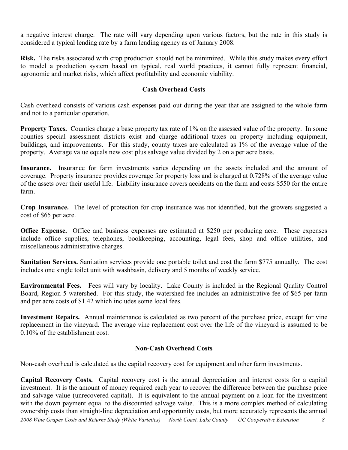a negative interest charge. The rate will vary depending upon various factors, but the rate in this study is considered a typical lending rate by a farm lending agency as of January 2008.

**Risk.** The risks associated with crop production should not be minimized. While this study makes every effort to model a production system based on typical, real world practices, it cannot fully represent financial, agronomic and market risks, which affect profitability and economic viability.

## **Cash Overhead Costs**

Cash overhead consists of various cash expenses paid out during the year that are assigned to the whole farm and not to a particular operation.

**Property Taxes.** Counties charge a base property tax rate of 1% on the assessed value of the property. In some counties special assessment districts exist and charge additional taxes on property including equipment, buildings, and improvements. For this study, county taxes are calculated as 1% of the average value of the property. Average value equals new cost plus salvage value divided by 2 on a per acre basis.

**Insurance.** Insurance for farm investments varies depending on the assets included and the amount of coverage. Property insurance provides coverage for property loss and is charged at 0.728% of the average value of the assets over their useful life. Liability insurance covers accidents on the farm and costs \$550 for the entire farm.

**Crop Insurance.** The level of protection for crop insurance was not identified, but the growers suggested a cost of \$65 per acre.

**Office Expense.** Office and business expenses are estimated at \$250 per producing acre. These expenses include office supplies, telephones, bookkeeping, accounting, legal fees, shop and office utilities, and miscellaneous administrative charges.

**Sanitation Services.** Sanitation services provide one portable toilet and cost the farm \$775 annually. The cost includes one single toilet unit with washbasin, delivery and 5 months of weekly service.

**Environmental Fees.** Fees will vary by locality. Lake County is included in the Regional Quality Control Board, Region 5 watershed. For this study, the watershed fee includes an administrative fee of \$65 per farm and per acre costs of \$1.42 which includes some local fees.

**Investment Repairs.** Annual maintenance is calculated as two percent of the purchase price, except for vine replacement in the vineyard. The average vine replacement cost over the life of the vineyard is assumed to be 0.10% of the establishment cost.

## **Non-Cash Overhead Costs**

Non-cash overhead is calculated as the capital recovery cost for equipment and other farm investments.

2008 Wine Grapes Costs and Returns Study (White Varieties) North Coast, Lake County UC Cooperative Extension 8 **Capital Recovery Costs.** Capital recovery cost is the annual depreciation and interest costs for a capital investment. It is the amount of money required each year to recover the difference between the purchase price and salvage value (unrecovered capital). It is equivalent to the annual payment on a loan for the investment with the down payment equal to the discounted salvage value. This is a more complex method of calculating ownership costs than straight-line depreciation and opportunity costs, but more accurately represents the annual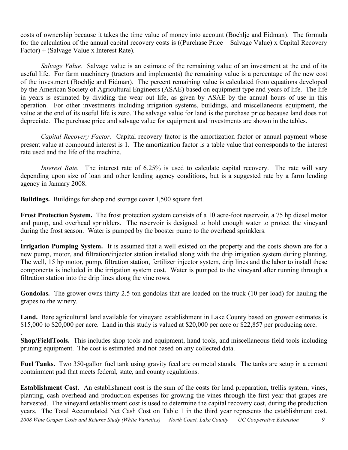costs of ownership because it takes the time value of money into account (Boehlje and Eidman). The formula for the calculation of the annual capital recovery costs is ((Purchase Price – Salvage Value) x Capital Recovery Factor) + (Salvage Value x Interest Rate).

*Salvage Value.* Salvage value is an estimate of the remaining value of an investment at the end of its useful life. For farm machinery (tractors and implements) the remaining value is a percentage of the new cost of the investment (Boehlje and Eidman). The percent remaining value is calculated from equations developed by the American Society of Agricultural Engineers (ASAE) based on equipment type and years of life. The life in years is estimated by dividing the wear out life, as given by ASAE by the annual hours of use in this operation. For other investments including irrigation systems, buildings, and miscellaneous equipment, the value at the end of its useful life is zero. The salvage value for land is the purchase price because land does not depreciate. The purchase price and salvage value for equipment and investments are shown in the tables.

*Capital Recovery Factor.* Capital recovery factor is the amortization factor or annual payment whose present value at compound interest is 1. The amortization factor is a table value that corresponds to the interest rate used and the life of the machine.

*Interest Rate.* The interest rate of 6.25% is used to calculate capital recovery. The rate will vary depending upon size of loan and other lending agency conditions, but is a suggested rate by a farm lending agency in January 2008.

**Buildings.** Buildings for shop and storage cover 1,500 square feet.

**Frost Protection System.** The frost protection system consists of a 10 acre-foot reservoir, a 75 hp diesel motor and pump, and overhead sprinklers. The reservoir is designed to hold enough water to protect the vineyard during the frost season. Water is pumped by the booster pump to the overhead sprinklers.

. **Irrigation Pumping System.** It is assumed that a well existed on the property and the costs shown are for a new pump, motor, and filtration/injector station installed along with the drip irrigation system during planting. The well, 15 hp motor, pump, filtration station, fertilizer injector system, drip lines and the labor to install these components is included in the irrigation system cost. Water is pumped to the vineyard after running through a filtration station into the drip lines along the vine rows.

**Gondolas.** The grower owns thirty 2.5 ton gondolas that are loaded on the truck (10 per load) for hauling the grapes to the winery.

**Land.** Bare agricultural land available for vineyard establishment in Lake County based on grower estimates is \$15,000 to \$20,000 per acre. Land in this study is valued at \$20,000 per acre or \$22,857 per producing acre.

. **Shop/FieldTools.** This includes shop tools and equipment, hand tools, and miscellaneous field tools including pruning equipment. The cost is estimated and not based on any collected data.

**Fuel Tanks.** Two 350-gallon fuel tank using gravity feed are on metal stands. The tanks are setup in a cement containment pad that meets federal, state, and county regulations.

2008 Wine Grapes Costs and Returns Study (White Varieties) North Coast, Lake County UC Cooperative Extension 9 **Establishment Cost**. An establishment cost is the sum of the costs for land preparation, trellis system, vines, planting, cash overhead and production expenses for growing the vines through the first year that grapes are harvested. The vineyard establishment cost is used to determine the capital recovery cost, during the production years. The Total Accumulated Net Cash Cost on Table 1 in the third year represents the establishment cost.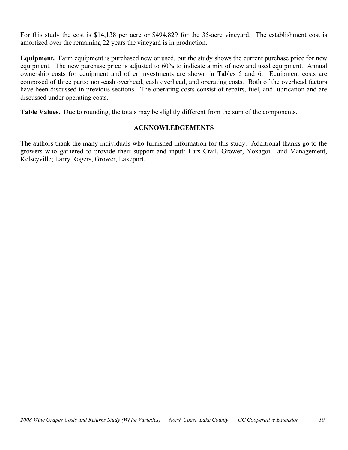For this study the cost is \$14,138 per acre or \$494,829 for the 35-acre vineyard. The establishment cost is amortized over the remaining 22 years the vineyard is in production.

**Equipment.** Farm equipment is purchased new or used, but the study shows the current purchase price for new equipment. The new purchase price is adjusted to 60% to indicate a mix of new and used equipment. Annual ownership costs for equipment and other investments are shown in Tables 5 and 6. Equipment costs are composed of three parts: non-cash overhead, cash overhead, and operating costs. Both of the overhead factors have been discussed in previous sections. The operating costs consist of repairs, fuel, and lubrication and are discussed under operating costs.

**Table Values.** Due to rounding, the totals may be slightly different from the sum of the components.

## **ACKNOWLEDGEMENTS**

The authors thank the many individuals who furnished information for this study. Additional thanks go to the growers who gathered to provide their support and input: Lars Crail, Grower, Yoxagoi Land Management, Kelseyville; Larry Rogers, Grower, Lakeport.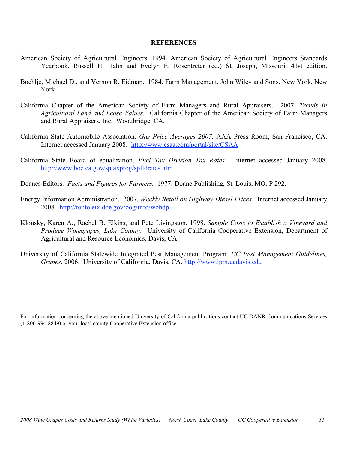#### **REFERENCES**

- American Society of Agricultural Engineers. 1994. American Society of Agricultural Engineers Standards Yearbook. Russell H. Hahn and Evelyn E. Rosentreter (ed.) St. Joseph, Missouri. 41st edition.
- Boehlje, Michael D., and Vernon R. Eidman. 1984. Farm Management. John Wiley and Sons. New York, New York
- California Chapter of the American Society of Farm Managers and Rural Appraisers. 2007. *Trends in Agricultural Land and Lease Values.* California Chapter of the American Society of Farm Managers and Rural Appraisers, Inc. Woodbridge, CA.
- California State Automobile Association. *Gas Price Averages 2007.* AAA Press Room, San Francisco, CA. Internet accessed January 2008. http://www.csaa.com/portal/site/CSAA
- California State Board of equalization. *Fuel Tax Division Tax Rates.* Internet accessed January 2008. http://www.boe.ca.gov/sptaxprog/spftdrates.htm
- Doanes Editors. *Facts and Figures for Farmers.* 1977. Doane Publishing, St. Louis, MO. P 292.
- Energy Information Administration. 2007. *Weekly Retail on Highway Diesel Prices.* Internet accessed January 2008. http://tonto.eix.doe.gov/oog/info/wohdp
- Klonsky, Karen A., Rachel B. Elkins, and Pete Livingston. 1998. *Sample Costs to Establish a Vineyard and Produce Winegrapes, Lake County.* University of California Cooperative Extension, Department of Agricultural and Resource Economics. Davis, CA.
- University of California Statewide Integrated Pest Management Program. *UC Pest Management Guidelines, Grapes*. 2006. University of California, Davis, CA. http://www.ipm.ucdavis.edu

For information concerning the above mentioned University of California publications contact UC DANR Communications Services (1-800-994-8849) or your local county Cooperative Extension office.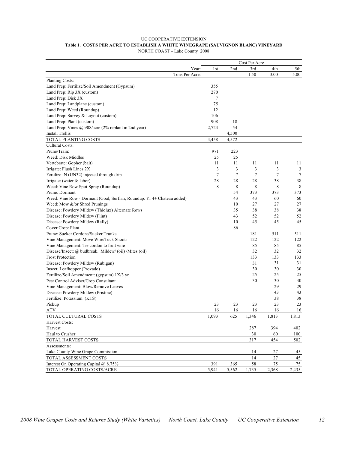#### UC COOPERATIVE EXTENSION **Table 1. COSTS PER ACRE TO ESTABLISH A WHITE WINEGRAPE (SAUVIGNON BLANC) VINEYARD** NORTH COAST – Lake County 2008

|                                                                        |              |                | Cost Per Acre  |        |          |
|------------------------------------------------------------------------|--------------|----------------|----------------|--------|----------|
|                                                                        | Year:<br>1st | 2nd            | 3rd            | 4th    | 5th      |
| Tons Per Acre:                                                         |              |                | 1.50           | 3.00   | 5.00     |
| Planting Costs:                                                        |              |                |                |        |          |
| Land Prep: Fertilize/Soil Amendment (Gypsum)                           | 355          |                |                |        |          |
| Land Prep: Rip 3X (custom)                                             | 270          |                |                |        |          |
| Land Prep: Disk 3X                                                     | 7            |                |                |        |          |
| Land Prep: Landplane (custom)                                          | 75           |                |                |        |          |
| Land Prep: Weed (Roundup)                                              | 12           |                |                |        |          |
| Land Prep: Survey & Layout (custom)                                    | 106          |                |                |        |          |
| Land Prep: Plant (custom)                                              | 908          | 18             |                |        |          |
| Land Prep: Vines @ 908/acre (2% replant in 2nd year)                   | 2,724        | 54             |                |        |          |
| <b>Install Trellis</b>                                                 |              | 4,500          |                |        |          |
| TOTAL PLANTING COSTS                                                   | 4,458        | 4,572          |                |        |          |
| Cultural Costs:                                                        |              |                |                |        |          |
| Prune/Train:                                                           | 971          | 223            |                |        |          |
| Weed: Disk Middles                                                     | 25           | 25             |                |        |          |
| Vertebrate: Gopher (bait)                                              | 11           | 11             | 11             | 11     | 11       |
| Irrigate: Flush Lines 2X                                               | 3            | 3              | 3              | 3      | 3        |
| Fertilize: N (UN32) injected through drip                              | $\tau$       | $\overline{7}$ | $\overline{7}$ | $\tau$ | $\tau$   |
| Irrigate: (water $&$ labor)                                            | 28           | 28             | 28             | 38     | 38       |
| Weed: Vine Row Spot Spray (Roundup)                                    | 8            | 8              | 8              | 8      | 8        |
| Prune: Dormant                                                         |              | 54             | 373            | 373    | 373      |
| Weed: Vine Row - Dormant (Goal, Surflan, Roundup. Yr 4+ Chateau added) |              | 43             | 43             | 60     | 60       |
| Weed: Mow &/or Shred Prunings                                          |              | 10             | 27             | 27     | 27       |
| Disease: Powdery Mildew (Thiolux) Alternate Rows                       |              | 35             | 38             | 38     | 38       |
| Disease: Powdery Mildew (Flint)                                        |              | 43             | 52             | 52     | 52       |
| Disease: Powdery Mildew (Rally)                                        |              | 10             | 45             | 45     | 45       |
| Cover Crop: Plant                                                      |              | 86             |                |        |          |
| Prune: Sucker Cordons/Sucker Trunks                                    |              |                | 181            | 511    | 511      |
| Vine Management: Move Wire/Tuck Shoots                                 |              |                | 122            | 122    | 122      |
| Vine Management: Tie cordon to fruit wire                              |              |                | 85             | 85     | 85       |
| Disease/Insect: @ budbreak. Mildew/ (oil) /Mites (oil)                 |              |                | 32             | 32     | 32       |
| <b>Frost Protection</b>                                                |              |                | 133            | 133    | 133      |
| Disease: Powdery Mildew (Rubigan)                                      |              |                | 31             | 31     | 31       |
| Insect: Leafhopper (Provado)                                           |              |                | 30             | 30     | 30       |
| Fertilize/Soil Amendment: (gypsum) 1X/3 yr                             |              |                | 25             | 25     | 25       |
| Pest Control Adviser/Crop Consultant                                   |              |                | 30             | 30     | 30       |
| Vine Management: Blow/Remove Leaves                                    |              |                |                | 29     | 29       |
| Disease: Powdery Mildew (Pristine)                                     |              |                |                | 43     | 43       |
| Fertilize: Potassium (KTS)                                             |              |                |                | 38     | 38       |
| Pickup                                                                 | 23           | 23             | 23             | 23     | 23       |
| ATV                                                                    | 16           | 16             | 16             | 16     | 16       |
| TOTAL CULTURAL COSTS                                                   | 1,093        | 625            | 1,346          | 1,813  | 1,813    |
| Harvest Costs:                                                         |              |                |                |        |          |
| Harvest                                                                |              |                | 287            | 394    | 402      |
| Haul to Crusher                                                        |              |                | 30             | 60     | 100      |
|                                                                        |              |                |                |        |          |
| TOTAL HARVEST COSTS<br>Assessments:                                    |              |                | 317            | 454    | 502      |
| Lake County Wine Grape Commission                                      |              |                | 14             | 27     |          |
| TOTAL ASSESSMENT COSTS                                                 |              |                | 14             | 27     | 45<br>45 |
|                                                                        |              |                |                |        |          |
| Interest On Operating Capital @ 8.75%<br>TOTAL OPERATING COSTS/ACRE    | 391          | 365<br>5,562   | 58             | 75     | 75       |
|                                                                        | 5,941        |                | 1,735          | 2,368  | 2,435    |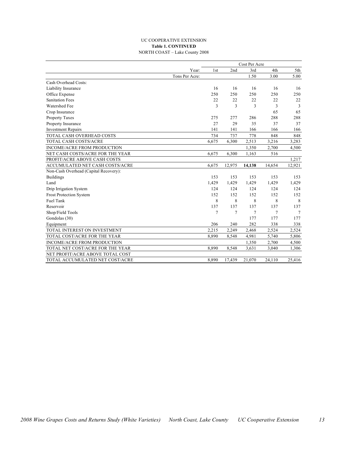#### UC COOPERATIVE EXTENSION **Table 1. CONTINUED** NORTH COAST – Lake County 2008

|                                       |                |       | Cost Per Acre |        |        |        |  |
|---------------------------------------|----------------|-------|---------------|--------|--------|--------|--|
|                                       | Year:          | 1st   | 2nd           | 3rd    | 4th    | 5th    |  |
|                                       | Tons Per Acre: |       |               | 1.50   | 3.00   | 5.00   |  |
| Cash Overhead Costs:                  |                |       |               |        |        |        |  |
| Liability Insurance                   |                | 16    | 16            | 16     | 16     | 16     |  |
| Office Expense                        |                | 250   | 250           | 250    | 250    | 250    |  |
| <b>Sanitation Fees</b>                |                | 22    | 22            | 22     | 22     | 22     |  |
| Watershed Fee                         |                | 3     | 3             | 3      | 3      | 3      |  |
| Crop Insurance                        |                |       |               |        | 65     | 65     |  |
| <b>Property Taxes</b>                 |                | 275   | 277           | 286    | 288    | 288    |  |
| Property Insurance                    |                | 27    | 29            | 35     | 37     | 37     |  |
| <b>Investment Repairs</b>             |                | 141   | 141           | 166    | 166    | 166    |  |
| TOTAL CASH OVERHEAD COSTS             |                | 734   | 737           | 778    | 848    | 848    |  |
| TOTAL CASH COSTS/ACRE                 |                | 6,675 | 6,300         | 2,513  | 3,216  | 3,283  |  |
| <b>INCOME/ACRE FROM PRODUCTION</b>    |                |       |               | 1,350  | 2,700  | 4,500  |  |
| NET CASH COSTS/ACRE FOR THE YEAR      |                | 6,675 | 6,300         | 1,163  | 516    |        |  |
| PROFIT/ACRE ABOVE CASH COSTS          |                |       |               |        |        | 1,217  |  |
| ACCUMULATED NET CASH COSTS/ACRE       |                | 6,675 | 12,975        | 14,138 | 14,654 | 12,921 |  |
| Non-Cash Overhead (Capital Recovery): |                |       |               |        |        |        |  |
| <b>Buildings</b>                      |                | 153   | 153           | 153    | 153    | 153    |  |
| Land                                  |                | 1,429 | 1,429         | 1,429  | 1,429  | 1,429  |  |
| Drip Irrigation System                |                | 124   | 124           | 124    | 124    | 124    |  |
| <b>Frost Protection System</b>        |                | 152   | 152           | 152    | 152    | 152    |  |
| <b>Fuel Tank</b>                      |                | 8     | 8             | 8      | 8      | 8      |  |
| Reservoir                             |                | 137   | 137           | 137    | 137    | 137    |  |
| Shop/Field Tools                      |                | 7     | 7             | 7      | 7      | 7      |  |
| Gondolas (30)                         |                |       |               | 177    | 177    | 177    |  |
| Equipment                             |                | 206   | 240           | 282    | 338    | 338    |  |
| TOTAL INTEREST ON INVESTMENT          |                | 2,215 | 2,249         | 2,468  | 2,524  | 2,524  |  |
| TOTAL COST/ACRE FOR THE YEAR          |                | 8,890 | 8,548         | 4,981  | 5,740  | 5,806  |  |
| INCOME/ACRE FROM PRODUCTION           |                |       |               | 1,350  | 2,700  | 4,500  |  |
| TOTAL NET COST/ACRE FOR THE YEAR      |                | 8,890 | 8,548         | 3,631  | 3,040  | 1,306  |  |
| NET PROFIT/ACRE ABOVE TOTAL COST      |                |       |               |        |        |        |  |
| TOTAL ACCUMULATED NET COST/ACRE       |                | 8,890 | 17,439        | 21,070 | 24,110 | 25,416 |  |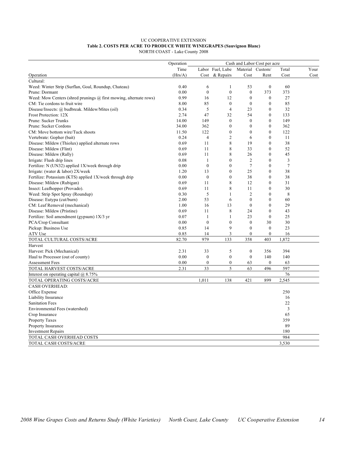#### UC COOPERATIVE EXTENSION **Table 2. COSTS PER ACRE TO PRODUCE WHITE WINEGRAPES (Sauvignon Blanc)** NORTH COAST - Lake County 2008

|                                                                          | Operation | Cash and Labor Cost per acre |                  |                  |                  |       |      |
|--------------------------------------------------------------------------|-----------|------------------------------|------------------|------------------|------------------|-------|------|
|                                                                          | Time      |                              | Labor Fuel, Lube | Material         | Custom/          | Total | Your |
| Operation                                                                | (Hrs/A)   | Cost                         | & Repairs        | Cost             | Rent             | Cost  | Cost |
| Cultural:                                                                |           |                              |                  |                  |                  |       |      |
| Weed: Winter Strip (Surflan, Goal, Roundup, Chateau)                     | 0.40      | 6                            | 1                | 53               | $\overline{0}$   | 60    |      |
| Prune: Dormant                                                           | 0.00      | $\boldsymbol{0}$             | $\boldsymbol{0}$ | $\boldsymbol{0}$ | 373              | 373   |      |
| Weed: Mow Centers (shred prunings $\omega$ first mowing, alternate rows) | 0.99      | 16                           | 12               | $\boldsymbol{0}$ | $\boldsymbol{0}$ | 27    |      |
| CM: Tie cordons to fruit wire                                            | 8.00      | 85                           | $\boldsymbol{0}$ | $\mathbf{0}$     | $\mathbf{0}$     | 85    |      |
| Disease/Insects: @ budbreak. Mildew/Mites (oil)                          | 0.34      | 5                            | $\overline{4}$   | 23               | $\mathbf{0}$     | 32    |      |
| Frost Protection: 12X                                                    | 2.74      | 47                           | 32               | 54               | $\overline{0}$   | 133   |      |
| Prune: Sucker Trunks                                                     | 14.00     | 149                          | $\mathbf{0}$     | $\mathbf{0}$     | $\overline{0}$   | 149   |      |
| Prune: Sucker Cordons                                                    | 34.00     | 362                          | $\mathbf{0}$     | $\mathbf{0}$     | $\overline{0}$   | 362   |      |
| CM: Move bottom wire/Tuck shoots                                         | 11.50     | 122                          | $\mathbf{0}$     | $\mathbf{0}$     | $\mathbf{0}$     | 122   |      |
|                                                                          |           | $\overline{4}$               | $\overline{2}$   |                  | $\mathbf{0}$     |       |      |
| Vertebrate: Gopher (bait)                                                | 0.24      |                              | 8                | 6                |                  | 11    |      |
| Disease: Mildew (Thiolux) applied alternate rows                         | 0.69      | 11                           |                  | 19               | $\mathbf{0}$     | 38    |      |
| Disease: Mildew (Flint)                                                  | 0.69      | 11                           | 8                | 33               | $\mathbf{0}$     | 52    |      |
| Disease: Mildew (Rally)                                                  | 0.69      | 11                           | 8                | 26               | $\mathbf{0}$     | 45    |      |
| Irrigate: Flush drip lines                                               | 0.08      | $\mathbf{1}$                 | $\mathbf{0}$     | $\overline{2}$   | $\mathbf{0}$     | 3     |      |
| Fertilize: N (UN32) applied 1X/week through drip                         | 0.00      | $\mathbf{0}$                 | $\mathbf{0}$     | $\overline{7}$   | $\overline{0}$   | 7     |      |
| Irrigate: (water & labor) 2X/week                                        | 1.20      | 13                           | $\boldsymbol{0}$ | 25               | $\theta$         | 38    |      |
| Fertilize: Potassium (KTS) applied 1X/week through drip                  | 0.00      | $\boldsymbol{0}$             | $\mathbf{0}$     | 38               | $\boldsymbol{0}$ | 38    |      |
| Disease: Mildew (Rubigan)                                                | 0.69      | 11                           | 8                | 12               | $\mathbf{0}$     | 31    |      |
| Insect: Leafhopper (Provado).                                            | 0.69      | 11                           | 8                | 11               | $\mathbf{0}$     | 30    |      |
| Weed: Strip Spot Spray (Roundup)                                         | 0.30      | 5                            | $\mathbf{1}$     | $\overline{2}$   | $\mathbf{0}$     | 8     |      |
| Disease: Eutypa (cut/burn)                                               | 2.00      | 53                           | 6                | $\mathbf{0}$     | $\overline{0}$   | 60    |      |
| CM: Leaf Removal (mechanical)                                            | 1.00      | 16                           | 13               | $\mathbf{0}$     | $\theta$         | 29    |      |
| Disease: Mildew (Pristine)                                               | 0.69      | 11                           | 8                | 24               | $\theta$         | 43    |      |
| Fertilize: Soil amendment (gypsum) 1X/3 yr                               | 0.07      | 1                            | 1                | 23               | $\overline{0}$   | 25    |      |
| PCA/Crop Consultant                                                      | 0.00      | $\mathbf{0}$                 | $\overline{0}$   | $\mathbf{0}$     | 30               | 30    |      |
| Pickup: Business Use                                                     | 0.85      | 14                           | 9                | $\mathbf{0}$     | $\mathbf{0}$     | 23    |      |
| ATV Use                                                                  | 0.85      | 14                           | 3                | $\mathbf{0}$     | $\overline{0}$   | 16    |      |
| TOTAL CULTURAL COSTS/ACRE                                                | 82.70     | 979                          | 133              | 358              | 403              | 1,872 |      |
| Harvest                                                                  |           |                              |                  |                  |                  |       |      |
| Harvest: Pick (Mechanical)                                               | 2.31      | 33                           | 5                | $\boldsymbol{0}$ | 356              | 394   |      |
| Haul to Processor (out of county)                                        | 0.00      | $\mathbf{0}$                 | $\mathbf{0}$     | $\mathbf{0}$     | 140              | 140   |      |
| <b>Assessment Fees</b>                                                   | 0.00      | $\boldsymbol{0}$             | $\boldsymbol{0}$ | 63               | $\overline{0}$   | 63    |      |
| TOTAL HARVEST COSTS/ACRE                                                 | 2.31      | 33                           | 5                | 63               | 496              | 597   |      |
| Interest on operating capital $(a)$ 8.75%                                |           |                              |                  |                  |                  | 76    |      |
| TOTAL OPERATING COSTS/ACRE                                               |           | 1,011                        | 138              | 421              | 899              | 2,545 |      |
| <b>CASH OVERHEAD:</b>                                                    |           |                              |                  |                  |                  |       |      |
|                                                                          |           |                              |                  |                  |                  | 250   |      |
| Office Expense                                                           |           |                              |                  |                  |                  |       |      |
| Liability Insurance                                                      |           |                              |                  |                  |                  | 16    |      |
| <b>Sanitation Fees</b>                                                   |           |                              |                  |                  |                  | 22    |      |
| Environmental Fees (watershed)                                           |           |                              |                  |                  |                  | 3     |      |
| Crop Insurance                                                           |           |                              |                  |                  |                  | 65    |      |
| Property Taxes                                                           |           |                              |                  |                  |                  | 359   |      |
| Property Insurance                                                       |           |                              |                  |                  |                  | 89    |      |
| <b>Investment Repairs</b>                                                |           |                              |                  |                  |                  | 180   |      |
| TOTAL CASH OVERHEAD COSTS                                                |           |                              |                  |                  |                  | 984   |      |
| TOTAL CASH COSTS/ACRE                                                    |           |                              |                  |                  |                  | 3,530 |      |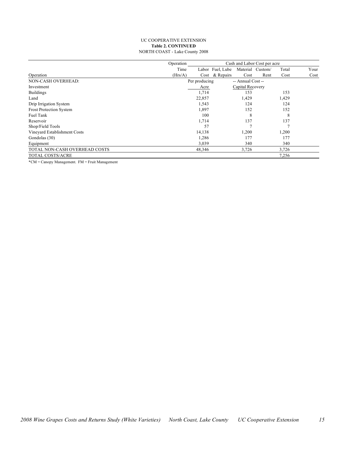#### UC COOPERATIVE EXTENSION **Table 2. CONTINUED** NORTH COAST - Lake County 2008

|                                | Operation | Cash and Labor Cost per acre |                  |                   |      |       |      |
|--------------------------------|-----------|------------------------------|------------------|-------------------|------|-------|------|
|                                | Time      |                              | Labor Fuel, Lube | Material Custom/  |      | Total | Your |
| Operation                      | (Hrs/A)   |                              | Cost & Repairs   | Cost              | Rent | Cost  | Cost |
| NON-CASH OVERHEAD:             |           | Per producing                |                  | -- Annual Cost -- |      |       |      |
| Investment                     |           | Acre                         |                  | Capital Recovery  |      |       |      |
| <b>Buildings</b>               |           | 1,714                        |                  | 153               |      | 153   |      |
| Land                           |           | 22,857                       |                  | 1,429             |      | 1,429 |      |
| Drip Irrigation System         |           | 1,543                        |                  | 124               |      | 124   |      |
| <b>Frost Protection System</b> |           | 1,897                        |                  | 152               |      | 152   |      |
| Fuel Tank                      |           | 100                          |                  | 8                 |      | 8     |      |
| Reservoir                      |           | 1,714                        |                  | 137               |      | 137   |      |
| Shop/Field Tools               |           | 57                           |                  |                   |      |       |      |
| Vineyard Establishment Costs   |           | 14,138                       |                  | 1,200             |      | 1,200 |      |
| Gondolas (30)                  |           | 1,286                        |                  | 177               |      | 177   |      |
| Equipment                      |           | 3,039                        |                  | 340               |      | 340   |      |
| TOTAL NON-CASH OVERHEAD COSTS  |           | 48,346                       |                  | 3,726             |      | 3,726 |      |
| <b>TOTAL COSTS/ACRE</b>        |           |                              |                  |                   |      | 7,256 |      |

\*CM = Canopy Management. FM = Fruit Management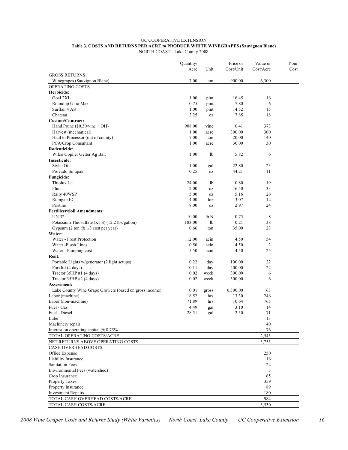#### UC COOPERATIVE EXTENSION **Table 3. COSTS AND RETURNS PER ACRE to PRODUCE WHITE WINEGRAPES (Sauvignon Blanc)** NORTH COAST - Lake County 2008

|                                                                | Quantity/      |                 | Price or        | Value or       | Your |
|----------------------------------------------------------------|----------------|-----------------|-----------------|----------------|------|
|                                                                | Acre           | Unit            | Cost/Unit       | Cost/Acre      | Cost |
| <b>GROSS RETURNS</b>                                           |                |                 |                 |                |      |
| Winegrapes (Sauvignon Blanc)                                   | 7.00           | ton             | 900.00          | 6,300          |      |
| OPERATING COSTS                                                |                |                 |                 |                |      |
| Herbicide:                                                     |                |                 |                 |                |      |
| Goal 2XL                                                       | 1.00           | pint            | 16.45           | 16             |      |
| Roundup Ultra Max                                              | 0.75           | pint            | 7.80            | 6              |      |
| Surflan 4 AS                                                   | 1.00           | pint            | 14.52           | 15             |      |
| Chateau                                                        | 2.25           | 0Z              | 7.85            | 18             |      |
| Custom/Contract:                                               |                |                 |                 |                |      |
| Hand Prune $(\$0.30/\text{vine} + OH)$<br>Harvest (mechanical) | 908.00<br>1.00 | vine            | 0.41            | 373<br>300     |      |
| Haul to Processor (out of county)                              | 7.00           | acre<br>ton     | 300.00<br>20.00 | 140            |      |
| PCA/Crop Consultant                                            | 1.00           | acre            | 30.00           | 30             |      |
| Rodenticide:                                                   |                |                 |                 |                |      |
| Wilco Gopher Getter Ag Bait                                    | 1.00           | lb              | 5.82            | 6              |      |
| <b>Insecticide:</b>                                            |                |                 |                 |                |      |
| Stylet Oil                                                     | 1.00           | gal             | 22.80           | 23             |      |
| Provado Solupak                                                | 0.25           | 0Z              | 44.21           | 11             |      |
| Fungicide:                                                     |                |                 |                 |                |      |
| Thiolux Jet                                                    | 24.00          | lb              | 0.80            | 19             |      |
| Flint                                                          | 2.00           | 0Z              | 16.50           | 33             |      |
| Rally 40WSP                                                    | 5.00           | 0Z              | 5.16            | 26             |      |
| Rubigan EC                                                     | 4.00           | floz            | 3.07            | 12             |      |
| Pristine                                                       | 8.00           | 0Z              | 2.97            | 24             |      |
| <b>Fertilizer/Soil Amendments:</b>                             |                |                 |                 |                |      |
| <b>UN 32</b>                                                   | 10.00          | lb <sub>N</sub> | 0.75            | 8              |      |
| Potassium Thiosulfate (KTS) (12.2 lbs/gallon)                  | 183.00         | 1b              | 0.21            | 38             |      |
| Gypsum (2 ton $\omega$ 1/3 cost per year)                      | 0.66           | ton             | 35.00           | 23             |      |
| Water:                                                         |                |                 |                 |                |      |
| Water - Frost Protection                                       | 12.00          | acin            | 4.50            | 54             |      |
| Water - Flush Lines                                            | 0.50           | acin            | 4.50            | $\overline{c}$ |      |
| Water - Pumping cost                                           | 5.50           | acin            | 4.50            | 25             |      |
| Rent:                                                          |                |                 |                 |                |      |
| Portable Lights w/generator (2 light setups)                   | 0.22           | day             | 100.00          | 22             |      |
| Forklift (4 days)                                              | 0.11           | day             | 200.00          | 22             |      |
| Tractor $35HP \#1$ (4 days)                                    | 0.02<br>0.02   | week            | 300.00          | 6              |      |
| Tractor 35HP #2 (4 days)<br>Assessment:                        |                | week            | 300.00          | 6              |      |
| Lake County Wine Grape Growers (based on gross income)         | 0.01           |                 | 6,300.00        | 63             |      |
| Labor (machine)                                                | 18.52          | gross<br>hrs    | 13.30           | 246            |      |
| Labor (non-machine)                                            | 71.89          | hrs             | 10.64           | 765            |      |
| Fuel - Gas                                                     | 4.49           | gal             | 3.10            | 14             |      |
| Fuel - Diesel                                                  | 28.51          | gal             | 2.50            | 71             |      |
| Lube                                                           |                |                 |                 | 13             |      |
| Machinery repair                                               |                |                 |                 | 40             |      |
| Interest on operating capital $@$ 8.75%                        |                |                 |                 | 76             |      |
| TOTAL OPERATING COSTS/ACRE                                     |                |                 |                 | 2,545          |      |
| NET RETURNS ABOVE OPERATING COSTS                              |                |                 |                 | 3,755          |      |
| CASH OVERHEAD COSTS:                                           |                |                 |                 |                |      |
| Office Expense                                                 |                |                 |                 | 250            |      |
| Liability Insurance                                            |                |                 |                 | 16             |      |
| Sanitation Fees                                                |                |                 |                 | 22             |      |
| Environmental Fees (watershed)                                 |                |                 |                 | 3              |      |
| Crop Insurance                                                 |                |                 |                 | 65             |      |
| Property Taxes                                                 |                |                 |                 | 359            |      |
| Property Insurance                                             |                |                 |                 | 89             |      |
| <b>Investment Repairs</b>                                      |                |                 |                 | 180            |      |
| TOTAL CASH OVERHEAD COSTS/ACRE                                 |                |                 |                 | 984            |      |
| TOTAL CASH COSTS/ACRE                                          |                |                 |                 | 3,530          |      |

2008 Wine Grapes Costs and Returns Study (White Varieties) North Coast, Lake County UC Cooperative Extension 16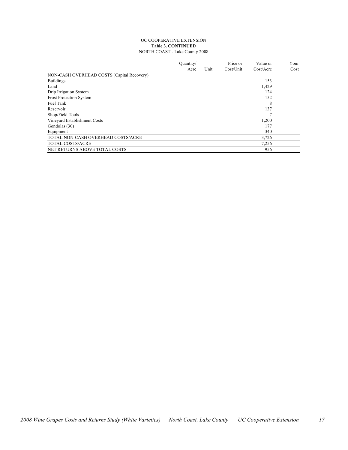#### UC COOPERATIVE EXTENSION **Table 3. CONTINUED** NORTH COAST - Lake County 2008

|                                            | Quantity/ |      | Price or  | Value or  | Your |
|--------------------------------------------|-----------|------|-----------|-----------|------|
|                                            | Acre      | Unit | Cost/Unit | Cost/Accr | Cost |
| NON-CASH OVERHEAD COSTS (Capital Recovery) |           |      |           |           |      |
| <b>Buildings</b>                           |           |      |           | 153       |      |
| Land                                       |           |      |           | 1,429     |      |
| Drip Irrigation System                     |           |      |           | 124       |      |
| <b>Frost Protection System</b>             |           |      |           | 152       |      |
| Fuel Tank                                  |           |      |           | 8         |      |
| Reservoir                                  |           |      |           | 137       |      |
| Shop/Field Tools                           |           |      |           |           |      |
| Vineyard Establishment Costs               |           |      |           | 1,200     |      |
| Gondolas (30)                              |           |      |           | 177       |      |
| Equipment                                  |           |      |           | 340       |      |
| TOTAL NON-CASH OVERHEAD COSTS/ACRE         |           |      |           | 3,726     |      |
| <b>TOTAL COSTS/ACRE</b>                    |           |      |           | 7,256     |      |
| NET RETURNS ABOVE TOTAL COSTS              |           |      |           | $-956$    |      |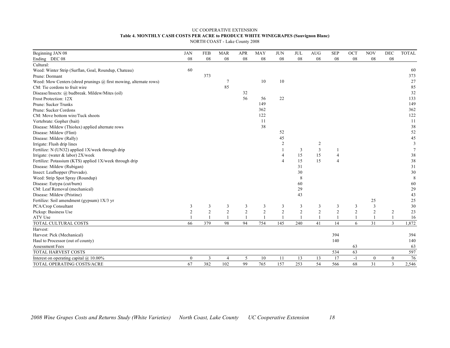## UC COOPERATIVE EXTENSION **Table 4. MONTHLY CASH COSTS PER ACRE to PRODUCE WHITE WINEGRAPES (Sauvignon Blanc)**

NORTH COAST - Lake County 2008

| Beginning JAN 08                                                  | <b>JAN</b>     | <b>FEB</b>     | <b>MAR</b>            | <b>APR</b>     | <b>MAY</b>     | <b>JUN</b>              | <b>JUL</b>     | <b>AUG</b>     | <b>SEP</b>     | OCT            | <b>NOV</b>       | <b>DEC</b>       | <b>TOTAL</b>            |
|-------------------------------------------------------------------|----------------|----------------|-----------------------|----------------|----------------|-------------------------|----------------|----------------|----------------|----------------|------------------|------------------|-------------------------|
| Ending DEC 08                                                     | 08             | 08             | 08                    | 08             | 08             | 08                      | 08             | 08             | 08             | 08             | 08               | ${\bf 08}$       |                         |
| Cultural:                                                         |                |                |                       |                |                |                         |                |                |                |                |                  |                  |                         |
| Weed: Winter Strip (Surflan, Goal, Roundup, Chateau)              | 60             |                |                       |                |                |                         |                |                |                |                |                  |                  | 60                      |
| Prune: Dormant                                                    |                | 373            |                       |                |                |                         |                |                |                |                |                  |                  | 373                     |
| Weed: Mow Centers (shred prunings @ first mowing, alternate rows) |                |                | $\overline{7}$        |                | 10             | 10                      |                |                |                |                |                  |                  | 27                      |
| CM: Tie cordons to fruit wire                                     |                |                | 85                    |                |                |                         |                |                |                |                |                  |                  | 85                      |
| Disease/Insects: @ budbreak. Mildew/Mites (oil)                   |                |                |                       | 32             |                |                         |                |                |                |                |                  |                  | 32                      |
| Frost Protection: 12X                                             |                |                |                       | 56             | 56             | 22                      |                |                |                |                |                  |                  | 133                     |
| Prune: Sucker Trunks                                              |                |                |                       |                | 149            |                         |                |                |                |                |                  |                  | 149                     |
| Prune: Sucker Cordons                                             |                |                |                       |                | 362            |                         |                |                |                |                |                  |                  | 362                     |
| CM: Move bottom wire/Tuck shoots                                  |                |                |                       |                | 122            |                         |                |                |                |                |                  |                  | 122                     |
| Vertebrate: Gopher (bait)                                         |                |                |                       |                | 11             |                         |                |                |                |                |                  |                  | 11                      |
| Disease: Mildew (Thiolux) applied alternate rows                  |                |                |                       |                | 38             |                         |                |                |                |                |                  |                  | 38                      |
| Disease: Mildew (Flint)                                           |                |                |                       |                |                | 52                      |                |                |                |                |                  |                  | 52                      |
| Disease: Mildew (Rally)                                           |                |                |                       |                |                | 45                      |                |                |                |                |                  |                  | 45                      |
| Irrigate: Flush drip lines                                        |                |                |                       |                |                | $\overline{c}$          |                | 2              |                |                |                  |                  | $\overline{\mathbf{3}}$ |
| Fertilize: N (UN32) applied 1X/week through drip                  |                |                |                       |                |                |                         | 3              | 3              |                |                |                  |                  | $\overline{7}$          |
| Irrigate: (water $&$ labor) 2X/week                               |                |                |                       |                |                | $\overline{4}$          | 15             | 15             |                |                |                  |                  | 38                      |
| Fertilize: Potassium (KTS) applied 1X/week through drip           |                |                |                       |                |                | $\overline{4}$          | 15             | 15             | $\overline{4}$ |                |                  |                  | 38                      |
| Disease: Mildew (Rubigan)                                         |                |                |                       |                |                |                         | 31             |                |                |                |                  |                  | 31                      |
| Insect: Leafhopper (Provado).                                     |                |                |                       |                |                |                         | 30             |                |                |                |                  |                  | 30                      |
| Weed: Strip Spot Spray (Roundup)                                  |                |                |                       |                |                |                         | 8              |                |                |                |                  |                  | 8                       |
| Disease: Eutypa (cut/burn)                                        |                |                |                       |                |                |                         | 60             |                |                |                |                  |                  | 60                      |
| CM: Leaf Removal (mechanical)                                     |                |                |                       |                |                |                         | 29             |                |                |                |                  |                  | 29                      |
| Disease: Mildew (Pristine)                                        |                |                |                       |                |                |                         | 43             |                |                |                |                  |                  | 43                      |
| Fertilize: Soil amendment (gypsum) 1X/3 yr                        |                |                |                       |                |                |                         |                |                |                |                | 25               |                  | 25                      |
| PCA/Crop Consultant                                               | 3              | 3              | 3                     | 3              | 3              | $\overline{\mathbf{3}}$ | $\mathfrak{Z}$ | 3              | 3              | 3              | $\mathbf{3}$     |                  | 30                      |
| Pickup: Business Use                                              | $\overline{c}$ | $\overline{2}$ | $\overline{2}$        | $\overline{2}$ | $\overline{2}$ | $\sqrt{2}$              | $\sqrt{2}$     | $\overline{c}$ | $\overline{c}$ | $\overline{2}$ | $\overline{c}$   | $\overline{c}$   | 23                      |
| ATV Use                                                           |                |                |                       |                |                |                         |                |                |                |                |                  |                  | 16                      |
| TOTAL CULTURAL COSTS                                              | 66             | 379            | 98                    | 94             | 754            | 145                     | 240            | 41             | 14             | 6              | 31               | $\overline{3}$   | 1,872                   |
| Harvest:                                                          |                |                |                       |                |                |                         |                |                |                |                |                  |                  |                         |
| Harvest: Pick (Mechanical)                                        |                |                |                       |                |                |                         |                |                | 394            |                |                  |                  | 394                     |
| Haul to Processor (out of county)                                 |                |                |                       |                |                |                         |                |                | 140            |                |                  |                  | 140                     |
| <b>Assessment Fees</b>                                            |                |                |                       |                |                |                         |                |                |                | 63             |                  |                  | 63                      |
| TOTAL HARVEST COSTS                                               |                |                |                       |                |                |                         |                |                | 534            | 63             |                  |                  | 597                     |
| Interest on operating capital $\omega$ 10.00%                     | $\mathbf{0}$   | 3              | $\boldsymbol{\Delta}$ | 5              | 10             | 11                      | 13             | 13             | 17             | $-1$           | $\boldsymbol{0}$ | $\boldsymbol{0}$ | 76                      |
| TOTAL OPERATING COSTS/ACRE                                        | 67             | 382            | 102                   | 99             | 765            | 157                     | 253            | 54             | 566            | 68             | 31               | $\overline{3}$   | 2,546                   |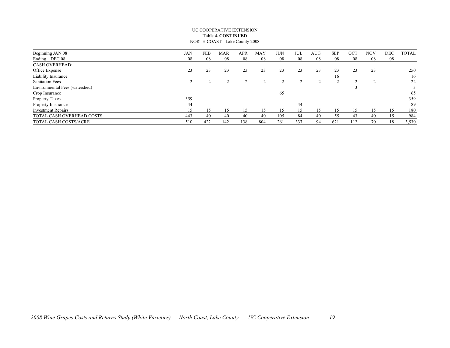#### UC COOPERATIVE EXTENSION **Table 4. CONTINUED** NORTH COAST - Lake County 2008

| Beginning JAN 08               | JAN | FEB | <b>MAR</b> | APR | <b>MAY</b> | JUN | JUL | AUG | <b>SEP</b> | <b>OCT</b> | <b>NOV</b> | DEC | <b>TOTAL</b> |
|--------------------------------|-----|-----|------------|-----|------------|-----|-----|-----|------------|------------|------------|-----|--------------|
| Ending DEC 08                  | 08  | 08  | 08         | 08  | 08         | 08  | 08  | 08  | 08         | 08         | 08         | 08  |              |
| <b>CASH OVERHEAD:</b>          |     |     |            |     |            |     |     |     |            |            |            |     |              |
| Office Expense                 | 23  | 23  | 23         | 23  | 23         | 23  | 23  | 23  | 23         | 23         | 23         |     | 250          |
| Liability Insurance            |     |     |            |     |            |     |     |     | 16         |            |            |     | 16           |
| <b>Sanitation Fees</b>         |     |     |            |     |            |     |     |     |            |            |            |     | 22           |
| Environmental Fees (watershed) |     |     |            |     |            |     |     |     |            |            |            |     | 3            |
| Crop Insurance                 |     |     |            |     |            | 65  |     |     |            |            |            |     | 65           |
| Property Taxes                 | 359 |     |            |     |            |     |     |     |            |            |            |     | 359          |
| Property Insurance             | 44  |     |            |     |            |     | 44  |     |            |            |            |     | 89           |
| <b>Investment Repairs</b>      | 15  | 15  | l 5        | 15  |            | 15  | 15  |     |            | 15         | 15         | 15  | 180          |
| TOTAL CASH OVERHEAD COSTS      | 443 | 40  | 40         | 40  | 40         | 105 | 84  | 40  | 55         | 43         | 40         | 15  | 984          |
| TOTAL CASH COSTS/ACRE          | 510 | 422 | 142        | 138 | 804        | 261 | 337 | 94  | 621        | 112        | 70         | 18  | 3,530        |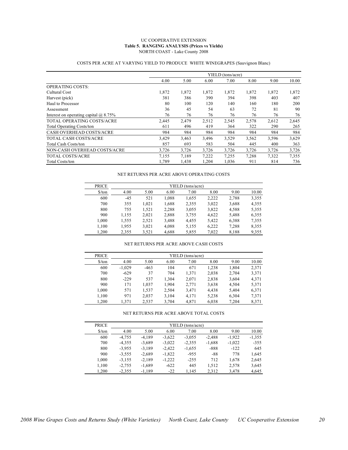#### UC COOPERATIVE EXTENSION **Table 5. RANGING ANALYSIS (Prices vs Yields)** NORTH COAST - Lake County 2008

|                                           |       |       |       | YIELD (tons/acre) |       |       |       |
|-------------------------------------------|-------|-------|-------|-------------------|-------|-------|-------|
|                                           | 4.00  | 5.00  | 6.00  | 7.00              | 8.00  | 9.00  | 10.00 |
| <b>OPERATING COSTS:</b>                   |       |       |       |                   |       |       |       |
| Cultural Cost                             | 1,872 | 1,872 | 1,872 | 1,872             | 1,872 | 1,872 | 1,872 |
| Harvest (pick)                            | 381   | 386   | 390   | 394               | 398   | 403   | 407   |
| Haul to Processor                         | 80    | 100   | 120   | 140               | 160   | 180   | 200   |
| Assessment                                | 36    | 45    | 54    | 63                | 72    | 81    | 90    |
| Interest on operating capital $(a)$ 8.75% | 76    | 76    | 76    | 76                | 76    | 76    | 76    |
| TOTAL OPERATING COSTS/ACRE                | 2,445 | 2,479 | 2,512 | 2,545             | 2,578 | 2,612 | 2,645 |
| <b>Total Operating Costs/ton</b>          | 611   | 496   | 419   | 364               | 322   | 290   | 265   |
| <b>CASH OVERHEAD COSTS/ACRE</b>           | 984   | 984   | 984   | 984               | 984   | 984   | 984   |
| <b>TOTAL CASH COSTS/ACRE</b>              | 3,429 | 3,463 | 3,496 | 3,529             | 3,562 | 3,596 | 3,629 |
| <b>Total Cash Costs/ton</b>               | 857   | 693   | 583   | 504               | 445   | 400   | 363   |
| NON-CASH OVERHEAD COSTS/ACRE              | 3,726 | 3,726 | 3,726 | 3,726             | 3,726 | 3,726 | 3,726 |
| <b>TOTAL COSTS/ACRE</b>                   | 7,155 | 7,189 | 7,222 | 7,255             | 7,288 | 7,322 | 7,355 |
| <b>Total Costs/ton</b>                    | 1,789 | 1,438 | 1,204 | 1,036             | 911   | 814   | 736   |

### COSTS PER ACRE AT VARYING YIELD TO PRODUCE WHITE WINEGRAPES (Sauvignon Blanc)

#### NET RETURNS PER ACRE ABOVE OPERATING COSTS

| <b>PRICE</b>                  | YIELD (tons/acre) |       |       |       |       |       |       |  |  |  |  |
|-------------------------------|-------------------|-------|-------|-------|-------|-------|-------|--|--|--|--|
| $\frac{\text{S}}{\text{top}}$ | 4.00              | 5.00  | 6.00  | 7.00  | 8.00  | 9.00  | 10.00 |  |  |  |  |
| 600                           | $-4.5$            | 521   | 1,088 | 1,655 | 2,222 | 2,788 | 3,355 |  |  |  |  |
| 700                           | 355               | 1,021 | 1,688 | 2,355 | 3,022 | 3,688 | 4,355 |  |  |  |  |
| 800                           | 755               | 1,521 | 2,288 | 3,055 | 3,822 | 4,588 | 5,355 |  |  |  |  |
| 900                           | 1,155             | 2,021 | 2,888 | 3,755 | 4,622 | 5,488 | 6,355 |  |  |  |  |
| 1.000                         | 1,555             | 2,521 | 3.488 | 4.455 | 5,422 | 6,388 | 7,355 |  |  |  |  |
| 1,100                         | 1,955             | 3,021 | 4,088 | 5,155 | 6,222 | 7,288 | 8,355 |  |  |  |  |
| 1.200                         | 2.355             | 3,521 | 4.688 | 5,855 | 7.022 | 8,188 | 9,355 |  |  |  |  |

#### NET RETURNS PER ACRE ABOVE CASH COSTS

| <b>PRICE</b>                  |          | YIELD (tons/acre) |       |       |       |       |       |  |  |  |  |  |
|-------------------------------|----------|-------------------|-------|-------|-------|-------|-------|--|--|--|--|--|
| $\frac{\text{S}}{\text{top}}$ | 4.00     | 5.00              | 6.00  | 7.00  | 8.00  | 9.00  | 10.00 |  |  |  |  |  |
| 600                           | $-1.029$ | $-463$            | 104   | 671   | 1,238 | 1,804 | 2,371 |  |  |  |  |  |
| 700                           | $-629$   | 37                | 704   | 1.371 | 2,038 | 2,704 | 3,371 |  |  |  |  |  |
| 800                           | $-229$   | 537               | 1.304 | 2,071 | 2,838 | 3,604 | 4,371 |  |  |  |  |  |
| 900                           | 171      | 1,037             | 1.904 | 2,771 | 3,638 | 4,504 | 5,371 |  |  |  |  |  |
| 1.000                         | 571      | 1,537             | 2.504 | 3,471 | 4.438 | 5,404 | 6,371 |  |  |  |  |  |
| 1.100                         | 971      | 2,037             | 3.104 | 4,171 | 5,238 | 6,304 | 7,371 |  |  |  |  |  |
| 1.200                         | 1.371    | 2,537             | 3,704 | 4,871 | 6,038 | 7,204 | 8,371 |  |  |  |  |  |

#### NET RETURNS PER ACRE ABOVE TOTAL COSTS

| <b>PRICE</b>         |          |          |          | YIELD (tons/acre) |          |          |          |
|----------------------|----------|----------|----------|-------------------|----------|----------|----------|
| $\frac{\sqrt{2}}{2}$ | 4.00     | 5.00     | 6.00     | 7.00              | 8.00     | 9.00     | 10.00    |
| 600                  | $-4.755$ | $-4.189$ | $-3.622$ | $-3.055$          | $-2.488$ | $-1.922$ | $-1,355$ |
| 700                  | $-4,355$ | $-3,689$ | $-3,022$ | $-2,355$          | $-1,688$ | $-1,022$ | $-355$   |
| 800                  | $-3.955$ | $-3.189$ | $-2.422$ | $-1,655$          | $-888$   | $-122$   | 645      |
| 900                  | $-3,555$ | $-2,689$ | $-1,822$ | $-955$            | $-88$    | 778      | 1,645    |
| 1.000                | $-3,155$ | $-2.189$ | $-1,222$ | $-255$            | 712      | 1.678    | 2,645    |
| 1,100                | $-2,755$ | $-1,689$ | $-622$   | 445               | 1,512    | 2,578    | 3,645    |
| 1.200                | $-2,355$ | $-1,189$ | $-22$    | 1,145             | 2,312    | 3,478    | 4,645    |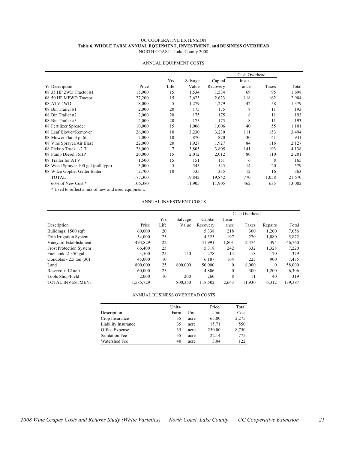#### UC COOPERATIVE EXTENSION **Table 6. WHOLE FARM ANNUAL EQUIPMENT, INVESTMENT, and BUSINESS OVERHEAD** NORTH COAST - Lake County 2008

|                                     |         |      |         |          | Cash Overhead |       |        |
|-------------------------------------|---------|------|---------|----------|---------------|-------|--------|
|                                     |         | Yrs  | Salvage | Capital  | Insur-        |       |        |
| <b>Yr</b> Description               | Price   | Life | Value   | Recovery | ance          | Taxes | Total  |
| 08 35 HP 2WD Tractor #1             | 15,900  | 15   | 1,534   | 1,534    | 69            | 95    | 1,698  |
| 08 50 HP MFWD Tractor               | 27,200  | 15   | 2,623   | 2,623    | 118           | 162   | 2,904  |
| 08 ATV 4WD                          | 8,000   | 5    | 1,279   | 1,279    | 42            | 58    | 1,379  |
| 08 Bin Trailer #1                   | 2,000   | 20   | 175     | 175      | 8             | 11    | 193    |
| 08 Bin Trailer #2                   | 2,000   | 20   | 175     | 175      | 8             | 11    | 193    |
| 08 Bin Trailer #3                   | 2,000   | 20   | 175     | 175      | 8             | 11    | 193    |
| 08 Fertilizer Spreader              | 10,000  | 15   | 1,006   | 1,006    | 40            | 55    | 1,101  |
| 08 Leaf Blower/Remover              | 26,000  | 10   | 3,230   | 3,230    | 111           | 153   | 3,494  |
| 08 Mower Flail 3 pt 6ft             | 7,000   | 10   | 870     | 870      | 30            | 41    | 941    |
| 08 Vine Sprayer/Air Blast           | 22,000  | 20   | 1,927   | 1,927    | 84            | 116   | 2,127  |
| 08 Pickup Truck 1/2 T               | 28,000  | 7    | 3,805   | 3,805    | 141           | 193   | 4,138  |
| 08 Pump Diesel 75HP                 | 20,000  | 15   | 2,012   | 2,012    | 80            | 110   | 2,201  |
| 08 Trailer for ATV                  | 1,500   | 15   | 151     | 151      | 6             | 8     | 165    |
| 08 Weed Sprayer 100 gal (pull type) | 3,000   | 5    | 545     | 545      | 14            | 20    | 579    |
| 08 Wilco Gopher Getter Baiter       | 2,700   | 10   | 335     | 335      | 12            | 16    | 363    |
| <b>TOTAL</b>                        | 177,300 |      | 19,842  | 19,842   | 770           | 1,058 | 21,670 |
| 60% of New Cost*                    | 106.380 |      | 11.905  | 11.905   | 462           | 635   | 13,002 |

#### ANNUAL EQUIPMENT COSTS

\* Used to reflect a mix of new and used equipment.

#### ANNUAL INVESTMENT COSTS

|                                |           |      |         |          | Cash Overhead |        |          |         |
|--------------------------------|-----------|------|---------|----------|---------------|--------|----------|---------|
|                                |           | Yrs  | Salvage | Capital  | Insur-        |        |          |         |
| Description                    | Price     | Life | Value   | Recovery | ance          | Taxes  | Repairs  | Total   |
| Buildings: 1500 sqft           | 60,000    | 20   |         | 5,338    | 218           | 300    | 1,200    | 7,056   |
| Drip Irrigation System         | 54,000    | 25   |         | 4.325    | 197           | 270    | 1,080    | 5,872   |
| Vineyard Establishment         | 494.829   | 22   |         | 41,991   | 1,801         | 2,474  | 494      | 46,760  |
| <b>Frost Protection System</b> | 66,400    | 25   |         | 5,318    | 242           | 332    | 1,328    | 7,220   |
| Fuel tank: 2-350 gal           | 3,500     | 25   | 150     | 278      | 13            | 18     | 70       | 379     |
| Gondolas $-2.5$ ton $(30)$     | 45,000    | 10   |         | 6,187    | 164           | 225    | 900      | 7,475   |
| Land                           | 800,000   | 25   | 800,000 | 50,000   | $\Omega$      | 8.000  | $\Omega$ | 58,000  |
| Reservoir: 12 acft             | 60,000    | 25   |         | 4.806    | $\Omega$      | 300    | 1,200    | 6,306   |
| Tools-Shop/Field               | 2,000     | 10   | 200     | 260      | 8             | 11     | 40       | 319     |
| <b>TOTAL INVESTMENT</b>        | 1,585,729 |      | 800,350 | 118,502  | 2.643         | 11,930 | 6.312    | 139,387 |

#### ANNUAL BUSINESS OVERHEAD COSTS

|                       | Units/ |      | Price/ | Total |
|-----------------------|--------|------|--------|-------|
| Description           | Farm   | Unit | Unit   | Cost  |
| Crop Insurance        | 35     | acre | 65.00  | 2,275 |
| Liability Insurance   | 35     | acre | 15.71  | 550   |
| Office Expense        | 35     | acre | 250.00 | 8,750 |
| <b>Sanitation Fee</b> | 35     | acre | 22.14  | 775   |
| Watershed Fee         | 40     | acre | 3.04   | 122   |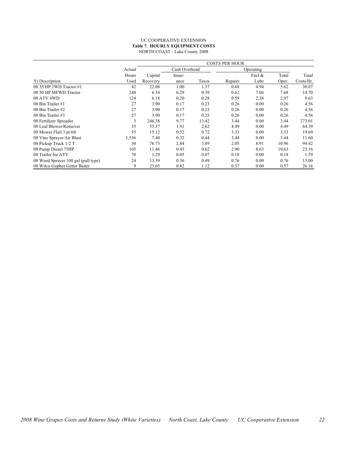#### UC COOPERATIVE EXTENSION **Table 7. HOURLY EQUIPMENT COSTS** NORTH COAST - Lake County 2008

|                                     |        | <b>COSTS PER HOUR</b> |               |       |         |           |       |           |  |
|-------------------------------------|--------|-----------------------|---------------|-------|---------|-----------|-------|-----------|--|
|                                     | Actual |                       | Cash Overhead |       |         | Operating |       |           |  |
|                                     | Hours  | Capital               | Insur-        |       |         | Fuel $\&$ | Total | Total     |  |
| <b>Yr Description</b>               | Used   | Recovery              | ance          | Taxes | Repairs | Lube      | Oper. | Costs/Hr. |  |
| 08 35 HP 2WD Tractor #1             | 42     | 22.08                 | 1.00          | 1.37  | 0.68    | 4.94      | 5.62  | 30.07     |  |
| 08 50 HP MFWD Tractor               | 248    | 6.34                  | 0.29          | 0.39  | 0.62    | 7.06      | 7.68  | 14.70     |  |
| 08 ATV 4WD                          | 124    | 6.18                  | 0.20          | 0.28  | 0.59    | 2.38      | 2.97  | 9.63      |  |
| 08 Bin Trailer #1                   | 27     | 3.90                  | 0.17          | 0.23  | 0.26    | 0.00      | 0.26  | 4.56      |  |
| 08 Bin Trailer #2                   | 27     | 3.90                  | 0.17          | 0.23  | 0.26    | 0.00      | 0.26  | 4.56      |  |
| 08 Bin Trailer #3                   | 27     | 3.90                  | 0.17          | 0.23  | 0.26    | 0.00      | 0.26  | 4.56      |  |
| 08 Fertilizer Spreader              | 3      | 246.38                | 9.77          | 13.42 | 3.44    | 0.00      | 3.44  | 273.01    |  |
| 08 Leaf Blower/Remover              | 35     | 55.37                 | 1.91          | 2.62  | 4.49    | 0.00      | 4.49  | 64.39     |  |
| 08 Mower Flail 3 pt 6ft             | 35     | 15.12                 | 0.52          | 0.72  | 3.33    | 0.00      | 3.33  | 19.69     |  |
| 08 Vine Sprayer/Air Blast           | 1,556  | 7.40                  | 0.32          | 0.44  | 3.44    | 0.00      | 3.44  | 11.60     |  |
| 08 Pickup Truck 1/2 T               | 30     | 76.73                 | 2.84          | 3.89  | 2.05    | 8.91      | 10.96 | 94.42     |  |
| 08 Pump Diesel 75HP                 | 105    | 11.46                 | 0.45          | 0.62  | 2.00    | 8.63      | 10.63 | 23.16     |  |
| 08 Trailer for ATV                  | 70     | 1.29                  | 0.05          | 0.07  | 0.18    | 0.00      | 0.18  | 1.59      |  |
| 08 Weed Sprayer 100 gal (pull type) | 24     | 13.39                 | 0.36          | 0.49  | 0.76    | 0.00      | 0.76  | 15.00     |  |
| 08 Wilco Gopher Getter Baiter       | 9      | 23.65                 | 0.82          | 1.12  | 0.57    | 0.00      | 0.57  | 26.16     |  |